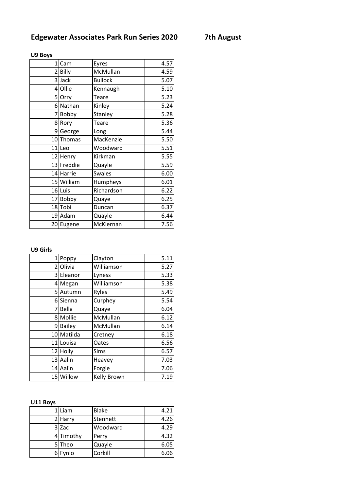| $1\vert$ | Cam        | Eyres          | 4.57 |
|----------|------------|----------------|------|
|          | 2 Billy    | McMullan       | 4.59 |
|          | 3 Jack     | <b>Bullock</b> | 5.07 |
|          | 4 Ollie    | Kennaugh       | 5.10 |
|          | 5 Orry     | Teare          | 5.23 |
| 6        | Nathan     | Kinley         | 5.24 |
| 7        | Bobby      | Stanley        | 5.28 |
| 8        | Rory       | Teare          | 5.36 |
|          | 9George    | Long           | 5.44 |
|          | 10 Thomas  | MacKenzie      | 5.50 |
|          | 11 Leo     | Woodward       | 5.51 |
|          | 12 Henry   | Kirkman        | 5.55 |
|          | 13 Freddie | Quayle         | 5.59 |
|          | 14 Harrie  | <b>Swales</b>  | 6.00 |
|          | 15 William | Humpheys       | 6.01 |
|          | 16Luis     | Richardson     | 6.22 |
|          | 17 Bobby   | Quaye          | 6.25 |
|          | 18Tobi     | Duncan         | 6.37 |
|          | 19 Adam    | Quayle         | 6.44 |
|          | 20 Eugene  | McKiernan      | 7.56 |

## **U9 Boys**

## **U9 Girls**

|    | 1 Poppy       | Clayton     | 5.11 |
|----|---------------|-------------|------|
|    | 2 Olivia      | Williamson  | 5.27 |
|    | 3 Eleanor     | Lyness      | 5.33 |
|    | 4 Megan       | Williamson  | 5.38 |
|    | 5 Autumn      | Ryles       | 5.49 |
|    | 6 Sienna      | Curphey     | 5.54 |
| 7  | Bella         | Quaye       | 6.04 |
| 81 | Mollie        | McMullan    | 6.12 |
| 9  | <b>Bailey</b> | McMullan    | 6.14 |
|    | 10 Matilda    | Cretney     | 6.18 |
| 11 | Louisa        | Oates       | 6.56 |
|    | 12 Holly      | Sims        | 6.57 |
|    | 13 Aalin      | Heavey      | 7.03 |
|    | 14 Aalin      | Forgie      | 7.06 |
|    | 15 Willow     | Kelly Brown | 7.19 |

## **U11 Boys**

| 1 Liam    | <b>Blake</b> | 4.21 |
|-----------|--------------|------|
| 2 Harry   | Stennett     | 4.26 |
| $3$ Zac   | Woodward     | 4.29 |
| 4 Timothy | Perry        | 4.32 |
| 5 Theo    | Quayle       | 6.05 |
| 6 Fynlo   | Corkill      | 6.06 |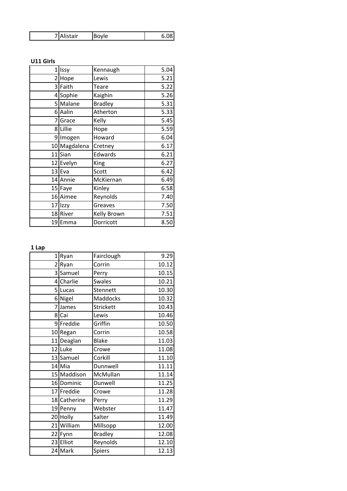| itair |  |
|-------|--|
|-------|--|

## **U11 Girls**

|    | 1 Issy    | Kennaugh       | 5.04 |
|----|-----------|----------------|------|
|    | 2 Hope    | Lewis          | 5.21 |
|    | 3 Faith   | Teare          | 5.22 |
|    | 4 Sophie  | Kaighin        | 5.26 |
|    | 5 Malane  | <b>Bradley</b> | 5.31 |
|    | 6 Aalin   | Atherton       | 5.33 |
| 71 | Grace     | Kelly          | 5.45 |
|    | 8 Lillie  | Hope           | 5.59 |
|    | 9 Imogen  | Howard         | 6.04 |
| 10 | Magdalena | Cretney        | 6.17 |
| 11 | Sian      | Edwards        | 6.21 |
|    | 12 Evelyn | King           | 6.27 |
|    | $13$ Eva  | Scott          | 6.42 |
|    | 14 Annie  | McKiernan      | 6.49 |
|    | 15 Faye   | Kinley         | 6.58 |
|    | 16 Aimee  | Reynolds       | 7.40 |
|    | 17 Izzy   | Greaves        | 7.50 |
|    | 18 River  | Kelly Brown    | 7.51 |
|    | 19 Emma   | Dorricott      | 8.50 |

**1 Lap**

| $\mathbf{1}$   | Ryan         | Fairclough       | 9.29  |
|----------------|--------------|------------------|-------|
| 2              | Ryan         | Corrin           | 10.12 |
|                | 3 Samuel     | Perry            | 10.15 |
| 41             | Charlie      | <b>Swales</b>    | 10.21 |
|                | 5Lucas       | Stennett         | 10.30 |
|                | 6 Nigel      | Maddocks         | 10.32 |
| $\overline{7}$ | James        | <b>Strickett</b> | 10.43 |
|                | 8 Cai        | Lewis            | 10.46 |
|                | 9Freddie     | Griffin          | 10.50 |
|                | 10 Regan     | Corrin           | 10.58 |
|                | 11 Deaglan   | <b>Blake</b>     | 11.03 |
|                | 12 Luke      | Crowe            | 11.08 |
|                | 13 Samuel    | Corkill          | 11.10 |
|                | 14 Mia       | Dunnwell         | 11.11 |
|                | 15 Maddison  | McMullan         | 11.14 |
|                | 16 Dominic   | Dunwell          | 11.25 |
|                | 17 Freddie   | Crowe            | 11.28 |
|                | 18 Catherine | Perry            | 11.29 |
|                | 19 Penny     | Webster          | 11.47 |
|                | 20 Holly     | Salter           | 11.49 |
|                | 21 William   | Millsopp         | 12.00 |
|                | 22 Fynn      | <b>Bradley</b>   | 12.08 |
|                | 23 Elliot    | Reynolds         | 12.10 |
|                | 24 Mark      | Spiers           | 12.13 |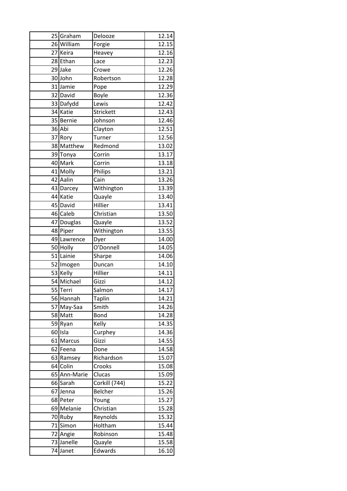| 25 Graham    | Delooze       | 12.14 |
|--------------|---------------|-------|
| 26 William   | Forgie        | 12.15 |
| 27 Keira     | Heavey        | 12.16 |
| 28 Ethan     | Lace          | 12.23 |
| 29 Jake      | Crowe         | 12.26 |
| 30 John      | Robertson     | 12.28 |
| 31 Jamie     | Pope          | 12.29 |
| 32 David     | Boyle         | 12.36 |
| 33 Dafydd    | Lewis         | 12.42 |
| 34 Katie     | Strickett     | 12.43 |
| 35 Bernie    | Johnson       | 12.46 |
| 36 Abi       | Clayton       | 12.51 |
| 37 Rory      | Turner        | 12.56 |
| 38 Matthew   | Redmond       | 13.02 |
| 39 Tonya     | Corrin        | 13.17 |
| 40 Mark      | Corrin        | 13.18 |
| 41 Molly     | Philips       | 13.21 |
| 42 Aalin     | Cain          | 13.26 |
| 43 Darcey    | Withington    | 13.39 |
| 44 Katie     | Quayle        | 13.40 |
| 45 David     | Hillier       | 13.41 |
| 46 Caleb     | Christian     | 13.50 |
| 47 Douglas   | Quayle        | 13.52 |
| 48 Piper     | Withington    | 13.55 |
| 49 Lawrence  | Dyer          | 14.00 |
| 50 Holly     | O'Donnell     | 14.05 |
| 51 Lainie    | Sharpe        | 14.06 |
| 52 Imogen    | Duncan        | 14.10 |
| 53 Kelly     | Hillier       | 14.11 |
| 54 Michael   | Gizzi         | 14.12 |
| 55 Terri     | Salmon        | 14.17 |
| 56 Hannah    | <b>Taplin</b> | 14.21 |
| 57 May-Saa   | Smith         | 14.26 |
| 58 Matt      | Bond          | 14.28 |
| 59 Ryan      | Kelly         | 14.35 |
| 60 Isla      | Curphey       | 14.36 |
| 61 Marcus    | Gizzi         | 14.55 |
| 62 Feena     | Done          | 14.58 |
| 63 Ramsey    | Richardson    | 15.07 |
| 64 Colin     | Crooks        | 15.08 |
| 65 Ann-Marie | Clucas        | 15.09 |
| 66 Sarah     | Corkill (744) | 15.22 |
| 67 Jenna     | Belcher       | 15.26 |
| 68 Peter     | Young         | 15.27 |
| 69 Melanie   | Christian     | 15.28 |
| 70 Ruby      | Reynolds      | 15.32 |
| 71 Simon     | Holtham       | 15.44 |
| 72 Angie     | Robinson      | 15.48 |
| 73 Janelle   | Quayle        | 15.58 |
|              |               |       |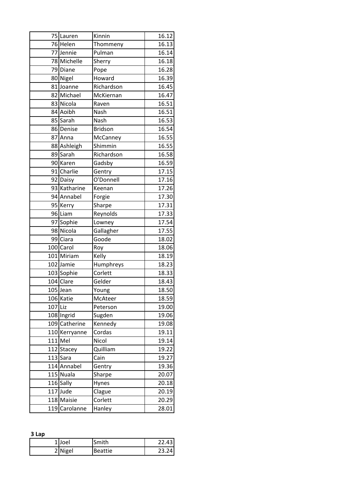|         | 75 Lauren     | Kinnin         | 16.12              |
|---------|---------------|----------------|--------------------|
|         | 76 Helen      | Thommeny       | 16.13              |
|         | 77 Jennie     | Pulman         | 16.14              |
|         | 78 Michelle   | Sherry         | 16.18              |
|         | 79 Diane      | Pope           | 16.28              |
|         | 80 Nigel      | Howard         | 16.39              |
|         | 81 Joanne     | Richardson     | 16.45              |
|         | 82 Michael    | McKiernan      | 16.47              |
|         | 83 Nicola     | Raven          | 16.51              |
|         | 84 Aoibh      | Nash           | 16.51              |
|         | 85 Sarah      | Nash           | 16.53              |
| 86      | Denise        | <b>Bridson</b> | 16.54              |
|         | 87 Anna       | McCanney       | 16.55              |
|         | 88 Ashleigh   | Shimmin        | 16.55              |
|         | 89 Sarah      | Richardson     | 16.58              |
|         | 90 Karen      | Gadsby         | 16.59              |
|         | 91 Charlie    | Gentry         | 17.15              |
|         | 92 Daisy      | O'Donnell      | 17.16              |
|         | 93 Katharine  | Keenan         | 17.26              |
|         | 94 Annabel    | Forgie         | 17.30              |
|         | 95 Kerry      | Sharpe         | $17.\overline{31}$ |
|         | 96 Liam       | Reynolds       | 17.33              |
|         | 97 Sophie     | Lowney         | 17.54              |
|         | 98 Nicola     | Gallagher      | 17.55              |
|         | 99 Ciara      | Goode          | 18.02              |
|         | 100 Carol     | Roy            | 18.06              |
|         | 101 Miriam    | Kelly          | 18.19              |
|         | 102 Jamie     | Humphreys      | 18.23              |
|         | 103 Sophie    | Corlett        | 18.33              |
|         | 104 Clare     | Gelder         | 18.43              |
|         | 105 Jean      | Young          | 18.50              |
|         | 106 Katie     | McAteer        | 18.59              |
| 107 Liz |               | Peterson       | 19.00              |
|         | 108 Ingrid    | Sugden         | 19.06              |
|         | 109 Catherine | Kennedy        | 19.08              |
|         | 110 Kerryanne | Cordas         | 19.11              |
|         | $111$ Mel     | Nicol          | 19.14              |
|         | 112 Stacey    | Quilliam       | 19.22              |
| 113     | Sara          | Cain           | 19.27              |
|         | 114 Annabel   | Gentry         | 19.36              |
|         | 115 Nuala     | Sharpe         | 20.07              |
|         | 116 Sally     | Hynes          | 20.18              |
|         | 117 Jude      | Clague         | 20.19              |
|         | 118 Maisie    | Corlett        | 20.29              |
|         | 119 Carolanne | Hanley         | 28.01              |

**3 Lap**

| Joel    | Smith   | 22.43 |
|---------|---------|-------|
| 2 Nigel | Beattie | ົາລ   |
|         |         |       |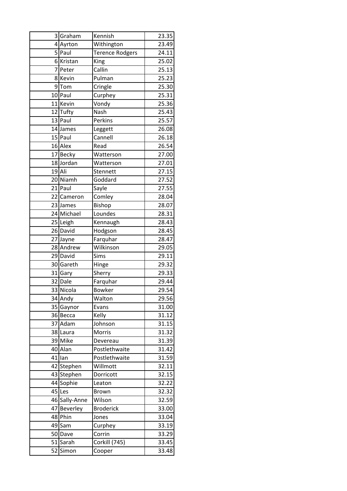|    | 3 Graham      | Kennish                | 23.35              |
|----|---------------|------------------------|--------------------|
|    | 4 Ayrton      | Withington             | 23.49              |
| 5  | Paul          | <b>Terence Rodgers</b> | 24.11              |
|    | 6 Kristan     | King                   | 25.02              |
|    | 7 Peter       | Callin                 | 25.13              |
|    | 8 Kevin       | Pulman                 | 25.23              |
|    | 9Tom          | Cringle                | 25.30              |
|    | 10 Paul       | Curphey                | 25.31              |
|    | 11 Kevin      | Vondy                  | $25.\overline{36}$ |
|    | 12 Tufty      | Nash                   | 25.43              |
|    | 13 Paul       | Perkins                | 25.57              |
|    | 14 James      | Leggett                | 26.08              |
|    | 15 Paul       | Cannell                | 26.18              |
|    | 16 Alex       | Read                   | 26.54              |
|    | 17 Becky      | Watterson              | 27.00              |
|    | 18 Jordan     | Watterson              | 27.01              |
|    | 19 Ali        | Stennett               | 27.15              |
|    | 20 Niamh      | Goddard                | 27.52              |
|    | 21 Paul       | Sayle                  | 27.55              |
|    | 22 Cameron    | Comley                 | 28.04              |
|    | 23 James      | Bishop                 | 28.07              |
|    | 24 Michael    | Loundes                | 28.31              |
|    | 25 Leigh      | Kennaugh               | 28.43              |
|    | 26 David      | Hodgson                | 28.45              |
|    | 27 Jayne      | Farquhar               | 28.47              |
|    | 28 Andrew     | Wilkinson              | 29.05              |
|    | 29 David      | Sims                   | 29.11              |
|    | 30 Gareth     | Hinge                  | 29.32              |
|    | 31 Gary       | Sherry                 | 29.33              |
|    | 32 Dale       | Farquhar               | 29.44              |
|    | 33 Nicola     | <b>Bowker</b>          | 29.54              |
|    | 34 Andy       | Walton                 | 29.56              |
|    | 35 Gaynor     | Evans                  | 31.00              |
|    | 36 Becca      | Kelly                  | 31.12              |
|    | 37 Adam       | Johnson                | 31.15              |
|    | 38 Laura      | Morris                 | 31.32              |
|    | 39 Mike       | Devereau               | 31.39              |
|    | 40 Alan       | Postlethwaite          | 31.42              |
|    | $41$ lan      | Postlethwaite          | 31.59              |
|    | 42 Stephen    | Willmott               | 32.11              |
|    | 43 Stephen    | Dorricott              | 32.15              |
|    | 44 Sophie     | Leaton                 | 32.22              |
|    | 45 Les        | Brown                  | 32.32              |
|    | 46 Sally-Anne | Wilson                 | 32.59              |
|    | 47 Beverley   | <b>Broderick</b>       | 33.00              |
|    | 48 Phin       | Jones                  | 33.04              |
|    | 49 Sam        | Curphey                | 33.19              |
|    | 50 Dave       | Corrin                 | 33.29              |
|    | 51 Sarah      | Corkill (745)          | 33.45              |
| 52 | Simon         | Cooper                 | 33.48              |